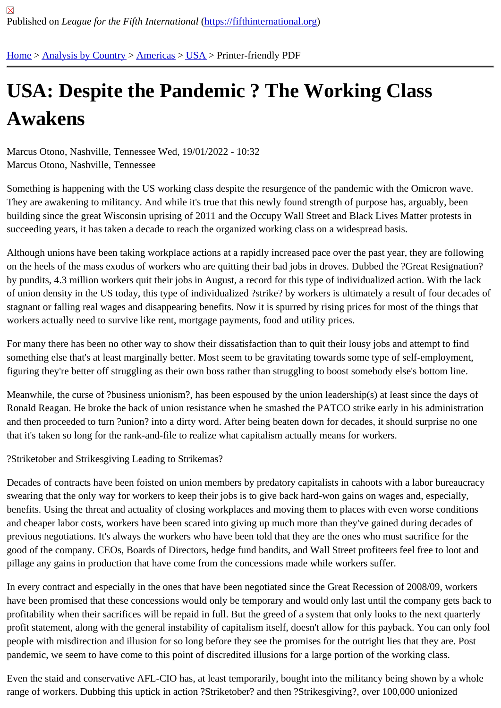## [US](https://fifthinternational.org/)[A: Despite](https://fifthinternational.org/category/1) [the P](https://fifthinternational.org/category/1/56)[and](https://fifthinternational.org/category/1/56/88)emic ? The Working Class Awakens

Marcus Otono, Nashville, Tennessee Wed, 19/01/2022 - 10:32 Marcus Otono, Nashville, Tennessee

Something is happening with the US working class despite the resurgence of the pandemic with the Omicron wave. They are awakening to militancy. And while it's true that this newly found strength of purpose has, arguably, been building since the great Wisconsin uprising of 2011 and the Occupy Wall Street and Black Lives Matter protests in succeeding years, it has taken a decade to reach the organized working class on a widespread basis.

Although unions have been taking workplace actions at a rapidly increased pace over the past year, they are follow on the heels of the mass exodus of workers who are quitting their bad jobs in droves. Dubbed the ?Great Resigna by pundits, 4.3 million workers quit their jobs in August, a record for this type of individualized action. With the lack of union density in the US today, this type of individualized ?strike? by workers is ultimately a result of four decade stagnant or falling real wages and disappearing benefits. Now it is spurred by rising prices for most of the things th workers actually need to survive like rent, mortgage payments, food and utility prices.

For many there has been no other way to show their dissatisfaction than to quit their lousy jobs and attempt to find something else that's at least marginally better. Most seem to be gravitating towards some type of self-employmer figuring they're better off struggling as their own boss rather than struggling to boost somebody else's bottom line.

Meanwhile, the curse of ?business unionism?, has been espoused by the union leadership(s) at least since the da Ronald Reagan. He broke the back of union resistance when he smashed the PATCO strike early in his administration and then proceeded to turn ?union? into a dirty word. After being beaten down for decades, it should surprise no o that it's taken so long for the rank-and-file to realize what capitalism actually means for workers.

?Striketober and Strikesgiving Leading to Strikemas?

Decades of contracts have been foisted on union members by predatory capitalists in cahoots with a labor bureau swearing that the only way for workers to keep their jobs is to give back hard-won gains on wages and, especially, benefits. Using the threat and actuality of closing workplaces and moving them to places with even worse condition and cheaper labor costs, workers have been scared into giving up much more than they've gained during decades previous negotiations. It's always the workers who have been told that they are the ones who must sacrifice for the good of the company. CEOs, Boards of Directors, hedge fund bandits, and Wall Street profiteers feel free to loot a pillage any gains in production that have come from the concessions made while workers suffer.

In every contract and especially in the ones that have been negotiated since the Great Recession of 2008/09, wor have been promised that these concessions would only be temporary and would only last until the company gets b profitability when their sacrifices will be repaid in full. But the greed of a system that only looks to the next quarterly profit statement, along with the general instability of capitalism itself, doesn't allow for this payback. You can only f people with misdirection and illusion for so long before they see the promises for the outright lies that they are. Po pandemic, we seem to have come to this point of discredited illusions for a large portion of the working class.

Even the staid and conservative AFL-CIO has, at least temporarily, bought into the militancy being shown by a wh range of workers. Dubbing this uptick in action ?Striketober? and then ?Strikesgiving?, over 100,000 unionized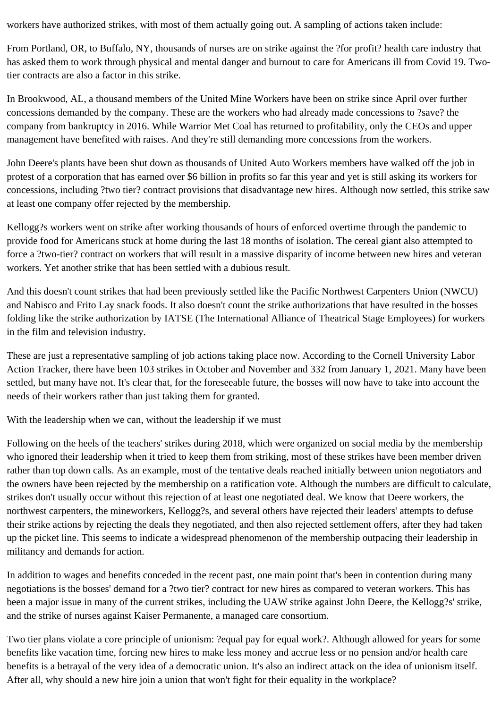workers have authorized strikes, with most of them actually going out. A sampling of actions taken include:

From Portland, OR, to Buffalo, NY, thousands of nurses are on strike against the ?for profit? health care industry that has asked them to work through physical and mental danger and burnout to care for Americans ill from Covid 19. Twotier contracts are also a factor in this strike.

In Brookwood, AL, a thousand members of the United Mine Workers have been on strike since April over further concessions demanded by the company. These are the workers who had already made concessions to ?save? the company from bankruptcy in 2016. While Warrior Met Coal has returned to profitability, only the CEOs and upper management have benefited with raises. And they're still demanding more concessions from the workers.

John Deere's plants have been shut down as thousands of United Auto Workers members have walked off the job in protest of a corporation that has earned over \$6 billion in profits so far this year and yet is still asking its workers for concessions, including ?two tier? contract provisions that disadvantage new hires. Although now settled, this strike saw at least one company offer rejected by the membership.

Kellogg?s workers went on strike after working thousands of hours of enforced overtime through the pandemic to provide food for Americans stuck at home during the last 18 months of isolation. The cereal giant also attempted to force a ?two-tier? contract on workers that will result in a massive disparity of income between new hires and veteran workers. Yet another strike that has been settled with a dubious result.

And this doesn't count strikes that had been previously settled like the Pacific Northwest Carpenters Union (NWCU) and Nabisco and Frito Lay snack foods. It also doesn't count the strike authorizations that have resulted in the bosses folding like the strike authorization by IATSE (The International Alliance of Theatrical Stage Employees) for workers in the film and television industry.

These are just a representative sampling of job actions taking place now. According to the Cornell University Labor Action Tracker, there have been 103 strikes in October and November and 332 from January 1, 2021. Many have been settled, but many have not. It's clear that, for the foreseeable future, the bosses will now have to take into account the needs of their workers rather than just taking them for granted.

With the leadership when we can, without the leadership if we must

Following on the heels of the teachers' strikes during 2018, which were organized on social media by the membership who ignored their leadership when it tried to keep them from striking, most of these strikes have been member driven rather than top down calls. As an example, most of the tentative deals reached initially between union negotiators and the owners have been rejected by the membership on a ratification vote. Although the numbers are difficult to calculate, strikes don't usually occur without this rejection of at least one negotiated deal. We know that Deere workers, the northwest carpenters, the mineworkers, Kellogg?s, and several others have rejected their leaders' attempts to defuse their strike actions by rejecting the deals they negotiated, and then also rejected settlement offers, after they had taken up the picket line. This seems to indicate a widespread phenomenon of the membership outpacing their leadership in militancy and demands for action.

In addition to wages and benefits conceded in the recent past, one main point that's been in contention during many negotiations is the bosses' demand for a ?two tier? contract for new hires as compared to veteran workers. This has been a major issue in many of the current strikes, including the UAW strike against John Deere, the Kellogg?s' strike, and the strike of nurses against Kaiser Permanente, a managed care consortium.

Two tier plans violate a core principle of unionism: ?equal pay for equal work?. Although allowed for years for some benefits like vacation time, forcing new hires to make less money and accrue less or no pension and/or health care benefits is a betrayal of the very idea of a democratic union. It's also an indirect attack on the idea of unionism itself. After all, why should a new hire join a union that won't fight for their equality in the workplace?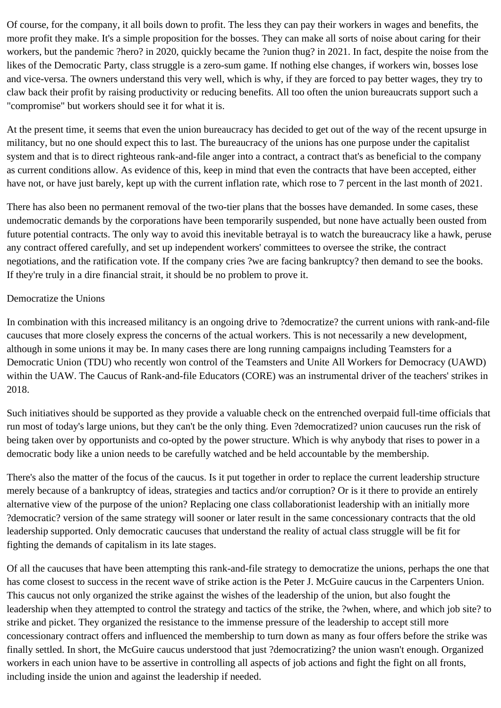Of course, for the company, it all boils down to profit. The less they can pay their workers in wages and benefits, the more profit they make. It's a simple proposition for the bosses. They can make all sorts of noise about caring for their workers, but the pandemic ?hero? in 2020, quickly became the ?union thug? in 2021. In fact, despite the noise from the likes of the Democratic Party, class struggle is a zero-sum game. If nothing else changes, if workers win, bosses lose and vice-versa. The owners understand this very well, which is why, if they are forced to pay better wages, they try to claw back their profit by raising productivity or reducing benefits. All too often the union bureaucrats support such a "compromise" but workers should see it for what it is.

At the present time, it seems that even the union bureaucracy has decided to get out of the way of the recent upsurge in militancy, but no one should expect this to last. The bureaucracy of the unions has one purpose under the capitalist system and that is to direct righteous rank-and-file anger into a contract, a contract that's as beneficial to the company as current conditions allow. As evidence of this, keep in mind that even the contracts that have been accepted, either have not, or have just barely, kept up with the current inflation rate, which rose to 7 percent in the last month of 2021.

There has also been no permanent removal of the two-tier plans that the bosses have demanded. In some cases, these undemocratic demands by the corporations have been temporarily suspended, but none have actually been ousted from future potential contracts. The only way to avoid this inevitable betrayal is to watch the bureaucracy like a hawk, peruse any contract offered carefully, and set up independent workers' committees to oversee the strike, the contract negotiations, and the ratification vote. If the company cries ?we are facing bankruptcy? then demand to see the books. If they're truly in a dire financial strait, it should be no problem to prove it.

## Democratize the Unions

In combination with this increased militancy is an ongoing drive to ?democratize? the current unions with rank-and-file caucuses that more closely express the concerns of the actual workers. This is not necessarily a new development, although in some unions it may be. In many cases there are long running campaigns including Teamsters for a Democratic Union (TDU) who recently won control of the Teamsters and Unite All Workers for Democracy (UAWD) within the UAW. The Caucus of Rank-and-file Educators (CORE) was an instrumental driver of the teachers' strikes in 2018.

Such initiatives should be supported as they provide a valuable check on the entrenched overpaid full-time officials that run most of today's large unions, but they can't be the only thing. Even ?democratized? union caucuses run the risk of being taken over by opportunists and co-opted by the power structure. Which is why anybody that rises to power in a democratic body like a union needs to be carefully watched and be held accountable by the membership.

There's also the matter of the focus of the caucus. Is it put together in order to replace the current leadership structure merely because of a bankruptcy of ideas, strategies and tactics and/or corruption? Or is it there to provide an entirely alternative view of the purpose of the union? Replacing one class collaborationist leadership with an initially more ?democratic? version of the same strategy will sooner or later result in the same concessionary contracts that the old leadership supported. Only democratic caucuses that understand the reality of actual class struggle will be fit for fighting the demands of capitalism in its late stages.

Of all the caucuses that have been attempting this rank-and-file strategy to democratize the unions, perhaps the one that has come closest to success in the recent wave of strike action is the Peter J. McGuire caucus in the Carpenters Union. This caucus not only organized the strike against the wishes of the leadership of the union, but also fought the leadership when they attempted to control the strategy and tactics of the strike, the ?when, where, and which job site? to strike and picket. They organized the resistance to the immense pressure of the leadership to accept still more concessionary contract offers and influenced the membership to turn down as many as four offers before the strike was finally settled. In short, the McGuire caucus understood that just ?democratizing? the union wasn't enough. Organized workers in each union have to be assertive in controlling all aspects of job actions and fight the fight on all fronts, including inside the union and against the leadership if needed.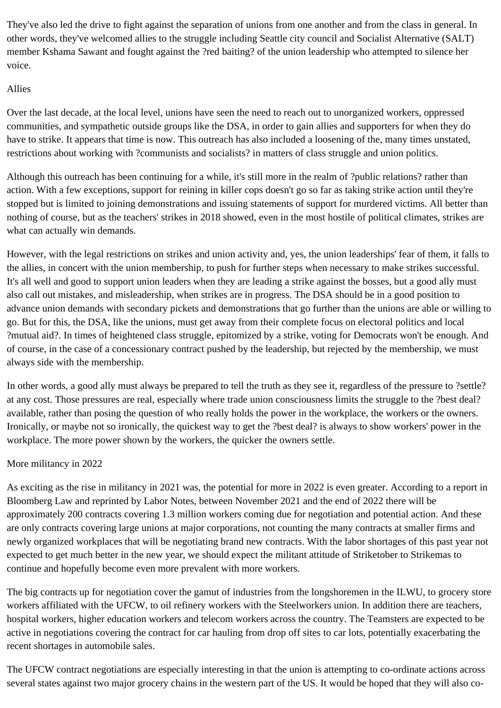They've also led the drive to fight against the separation of unions from one another and from the class in general. In other words, they've welcomed allies to the struggle including Seattle city council and Socialist Alternative (SALT) member Kshama Sawant and fought against the ?red baiting? of the union leadership who attempted to silence her voice.

## Allies

Over the last decade, at the local level, unions have seen the need to reach out to unorganized workers, oppressed communities, and sympathetic outside groups like the DSA, in order to gain allies and supporters for when they do have to strike. It appears that time is now. This outreach has also included a loosening of the, many times unstated, restrictions about working with ?communists and socialists? in matters of class struggle and union politics.

Although this outreach has been continuing for a while, it's still more in the realm of ?public relations? rather than action. With a few exceptions, support for reining in killer cops doesn't go so far as taking strike action until they're stopped but is limited to joining demonstrations and issuing statements of support for murdered victims. All better than nothing of course, but as the teachers' strikes in 2018 showed, even in the most hostile of political climates, strikes are what can actually win demands.

However, with the legal restrictions on strikes and union activity and, yes, the union leaderships' fear of them, it falls to the allies, in concert with the union membership, to push for further steps when necessary to make strikes successful. It's all well and good to support union leaders when they are leading a strike against the bosses, but a good ally must also call out mistakes, and misleadership, when strikes are in progress. The DSA should be in a good position to advance union demands with secondary pickets and demonstrations that go further than the unions are able or willing to go. But for this, the DSA, like the unions, must get away from their complete focus on electoral politics and local ?mutual aid?. In times of heightened class struggle, epitomized by a strike, voting for Democrats won't be enough. And of course, in the case of a concessionary contract pushed by the leadership, but rejected by the membership, we must always side with the membership.

In other words, a good ally must always be prepared to tell the truth as they see it, regardless of the pressure to ?settle? at any cost. Those pressures are real, especially where trade union consciousness limits the struggle to the ?best deal? available, rather than posing the question of who really holds the power in the workplace, the workers or the owners. Ironically, or maybe not so ironically, the quickest way to get the ?best deal? is always to show workers' power in the workplace. The more power shown by the workers, the quicker the owners settle.

## More militancy in 2022

As exciting as the rise in militancy in 2021 was, the potential for more in 2022 is even greater. According to a report in Bloomberg Law and reprinted by Labor Notes, between November 2021 and the end of 2022 there will be approximately 200 contracts covering 1.3 million workers coming due for negotiation and potential action. And these are only contracts covering large unions at major corporations, not counting the many contracts at smaller firms and newly organized workplaces that will be negotiating brand new contracts. With the labor shortages of this past year not expected to get much better in the new year, we should expect the militant attitude of Striketober to Strikemas to continue and hopefully become even more prevalent with more workers.

The big contracts up for negotiation cover the gamut of industries from the longshoremen in the ILWU, to grocery store workers affiliated with the UFCW, to oil refinery workers with the Steelworkers union. In addition there are teachers, hospital workers, higher education workers and telecom workers across the country. The Teamsters are expected to be active in negotiations covering the contract for car hauling from drop off sites to car lots, potentially exacerbating the recent shortages in automobile sales.

The UFCW contract negotiations are especially interesting in that the union is attempting to co-ordinate actions across several states against two major grocery chains in the western part of the US. It would be hoped that they will also co